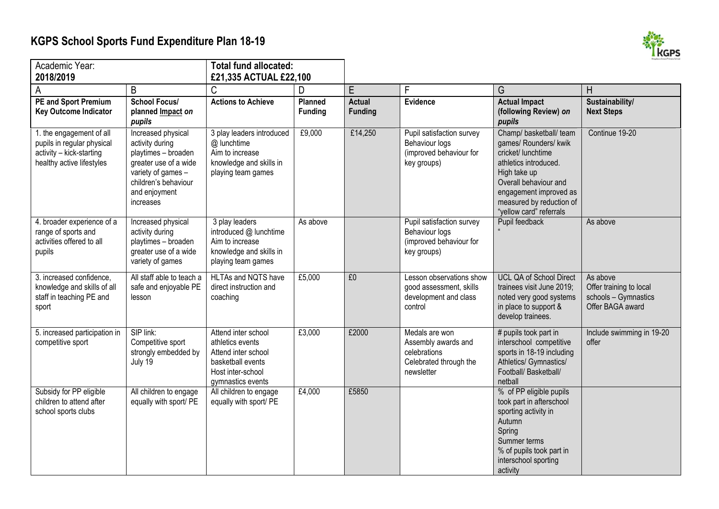## **KGPS School Sports Fund Expenditure Plan 18-19**



| Academic Year: |                                                                                                                 | <b>Total fund allocated:</b>                                                                                                                                      |                                                                                                                               |                                |                                      |                                                                                               |                                                                                                                                                                                                                           |                                                                                 |
|----------------|-----------------------------------------------------------------------------------------------------------------|-------------------------------------------------------------------------------------------------------------------------------------------------------------------|-------------------------------------------------------------------------------------------------------------------------------|--------------------------------|--------------------------------------|-----------------------------------------------------------------------------------------------|---------------------------------------------------------------------------------------------------------------------------------------------------------------------------------------------------------------------------|---------------------------------------------------------------------------------|
|                | 2018/2019                                                                                                       |                                                                                                                                                                   | £21,335 ACTUAL £22,100                                                                                                        |                                |                                      |                                                                                               |                                                                                                                                                                                                                           |                                                                                 |
|                | PE and Sport Premium<br><b>Key Outcome Indicator</b>                                                            | B<br><b>School Focus/</b><br>planned Impact on<br>pupils                                                                                                          | C<br><b>Actions to Achieve</b>                                                                                                | D<br>Planned<br><b>Funding</b> | E<br><b>Actual</b><br><b>Funding</b> | F<br>Evidence                                                                                 | G<br><b>Actual Impact</b><br>(following Review) on<br>pupils                                                                                                                                                              | H<br>Sustainability/<br><b>Next Steps</b>                                       |
|                | 1. the engagement of all<br>pupils in regular physical<br>activity - kick-starting<br>healthy active lifestyles | Increased physical<br>activity during<br>playtimes - broaden<br>greater use of a wide<br>variety of games -<br>children's behaviour<br>and enjoyment<br>increases | 3 play leaders introduced<br>@ lunchtime<br>Aim to increase<br>knowledge and skills in<br>playing team games                  | £9,000                         | £14,250                              | Pupil satisfaction survey<br>Behaviour logs<br>(improved behaviour for<br>key groups)         | Champ/ basketball/ team<br>games/ Rounders/ kwik<br>cricket/ lunchtime<br>athletics introduced.<br>High take up<br>Overall behaviour and<br>engagement improved as<br>measured by reduction of<br>"yellow card" referrals | Continue 19-20                                                                  |
|                | 4. broader experience of a<br>range of sports and<br>activities offered to all<br>pupils                        | Increased physical<br>activity during<br>playtimes - broaden<br>greater use of a wide<br>variety of games                                                         | 3 play leaders<br>introduced @ lunchtime<br>Aim to increase<br>knowledge and skills in<br>playing team games                  | As above                       |                                      | Pupil satisfaction survey<br>Behaviour logs<br>(improved behaviour for<br>key groups)         | Pupil feedback                                                                                                                                                                                                            | As above                                                                        |
|                | 3. increased confidence,<br>knowledge and skills of all<br>staff in teaching PE and<br>sport                    | All staff able to teach a<br>safe and enjoyable PE<br>lesson                                                                                                      | HLTAs and NQTS have<br>direct instruction and<br>coaching                                                                     | £5,000                         | E <sub>0</sub>                       | Lesson observations show<br>good assessment, skills<br>development and class<br>control       | <b>UCL QA of School Direct</b><br>trainees visit June 2019;<br>noted very good systems<br>in place to support &<br>develop trainees.                                                                                      | As above<br>Offer training to local<br>schools - Gymnastics<br>Offer BAGA award |
|                | 5. increased participation in<br>competitive sport                                                              | SIP link:<br>Competitive sport<br>strongly embedded by<br>July 19                                                                                                 | Attend inter school<br>athletics events<br>Attend inter school<br>basketball events<br>Host inter-school<br>gymnastics events | £3,000                         | £2000                                | Medals are won<br>Assembly awards and<br>celebrations<br>Celebrated through the<br>newsletter | # pupils took part in<br>interschool competitive<br>sports in 18-19 including<br>Athletics/ Gymnastics/<br>Football/ Basketball/<br>netball                                                                               | Include swimming in 19-20<br>offer                                              |
|                | Subsidy for PP eligible<br>children to attend after<br>school sports clubs                                      | All children to engage<br>equally with sport/ PE                                                                                                                  | All children to engage<br>equally with sport/ PE                                                                              | £4,000                         | £5850                                |                                                                                               | % of PP eligible pupils<br>took part in afterschool<br>sporting activity in<br>Autumn<br>Spring<br>Summer terms<br>% of pupils took part in<br>interschool sporting<br>activity                                           |                                                                                 |